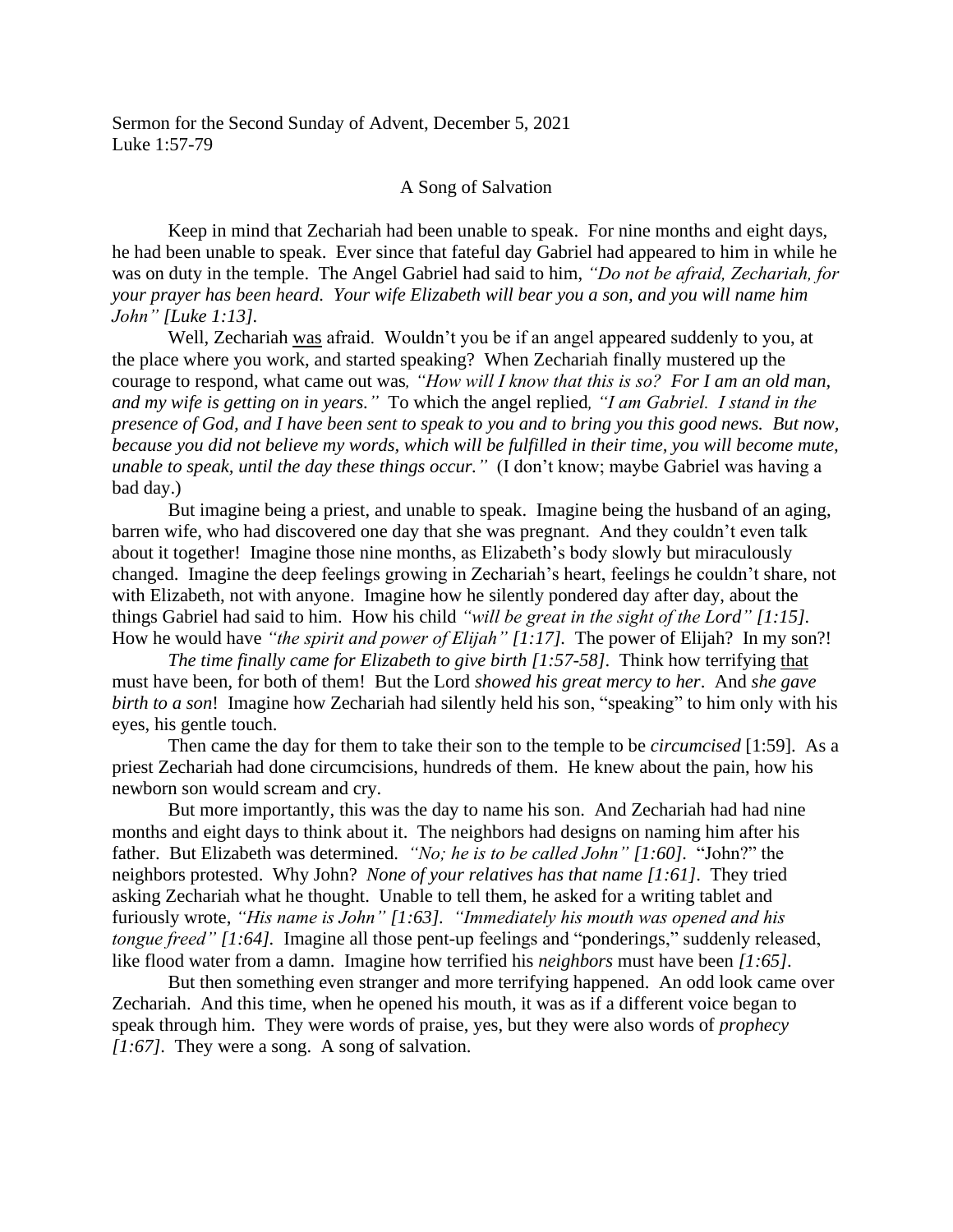Sermon for the Second Sunday of Advent, December 5, 2021 Luke 1:57-79

## A Song of Salvation

Keep in mind that Zechariah had been unable to speak. For nine months and eight days, he had been unable to speak. Ever since that fateful day Gabriel had appeared to him in while he was on duty in the temple. The Angel Gabriel had said to him, *"Do not be afraid, Zechariah, for your prayer has been heard. Your wife Elizabeth will bear you a son, and you will name him John" [Luke 1:13].*

Well, Zechariah was afraid. Wouldn't you be if an angel appeared suddenly to you, at the place where you work, and started speaking? When Zechariah finally mustered up the courage to respond, what came out was*, "How will I know that this is so? For I am an old man, and my wife is getting on in years."* To which the angel replied*, "I am Gabriel. I stand in the presence of God, and I have been sent to speak to you and to bring you this good news. But now, because you did not believe my words, which will be fulfilled in their time, you will become mute, unable to speak, until the day these things occur."* (I don't know; maybe Gabriel was having a bad day.)

But imagine being a priest, and unable to speak. Imagine being the husband of an aging, barren wife, who had discovered one day that she was pregnant. And they couldn't even talk about it together! Imagine those nine months, as Elizabeth's body slowly but miraculously changed. Imagine the deep feelings growing in Zechariah's heart, feelings he couldn't share, not with Elizabeth, not with anyone. Imagine how he silently pondered day after day, about the things Gabriel had said to him. How his child *"will be great in the sight of the Lord" [1:15].* How he would have *"the spirit and power of Elijah" [1:17].* The power of Elijah? In my son?!

*The time finally came for Elizabeth to give birth [1:57-58]*. Think how terrifying that must have been, for both of them! But the Lord *showed his great mercy to her*. And *she gave birth to a son*! Imagine how Zechariah had silently held his son, "speaking" to him only with his eyes, his gentle touch.

Then came the day for them to take their son to the temple to be *circumcised* [1:59]. As a priest Zechariah had done circumcisions, hundreds of them. He knew about the pain, how his newborn son would scream and cry.

But more importantly, this was the day to name his son. And Zechariah had had nine months and eight days to think about it. The neighbors had designs on naming him after his father. But Elizabeth was determined. *"No; he is to be called John" [1:60].* "John?" the neighbors protested. Why John? *None of your relatives has that name [1:61]*. They tried asking Zechariah what he thought. Unable to tell them, he asked for a writing tablet and furiously wrote, *"His name is John" [1:63]. "Immediately his mouth was opened and his tongue freed" [1:64].* Imagine all those pent-up feelings and "ponderings," suddenly released, like flood water from a damn. Imagine how terrified his *neighbors* must have been *[1:65]*.

But then something even stranger and more terrifying happened. An odd look came over Zechariah. And this time, when he opened his mouth, it was as if a different voice began to speak through him. They were words of praise, yes, but they were also words of *prophecy [1:67]*. They were a song. A song of salvation.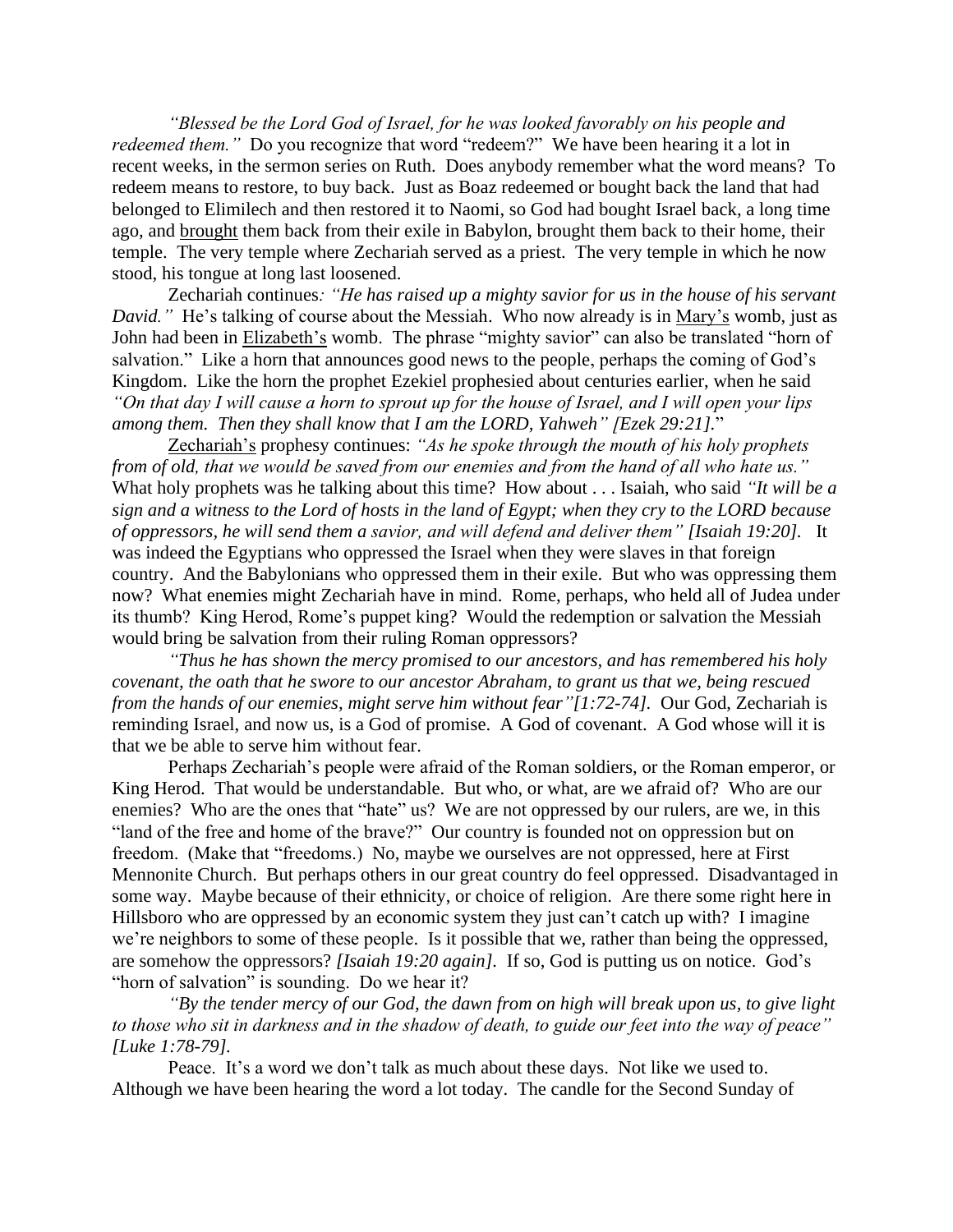*"Blessed be the Lord God of Israel, for he was looked favorably on his people and redeemed them.*" Do you recognize that word "redeem?" We have been hearing it a lot in recent weeks, in the sermon series on Ruth. Does anybody remember what the word means? To redeem means to restore, to buy back. Just as Boaz redeemed or bought back the land that had belonged to Elimilech and then restored it to Naomi, so God had bought Israel back, a long time ago, and brought them back from their exile in Babylon, brought them back to their home, their temple. The very temple where Zechariah served as a priest. The very temple in which he now stood, his tongue at long last loosened.

Zechariah continues*: "He has raised up a mighty savior for us in the house of his servant David.*" He's talking of course about the Messiah. Who now already is in Mary's womb, just as John had been in Elizabeth's womb. The phrase "mighty savior" can also be translated "horn of salvation." Like a horn that announces good news to the people, perhaps the coming of God's Kingdom. Like the horn the prophet Ezekiel prophesied about centuries earlier, when he said *"On that day I will cause a horn to sprout up for the house of Israel, and I will open your lips among them. Then they shall know that I am the LORD, Yahweh" [Ezek 29:21].*"

Zechariah's prophesy continues: *"As he spoke through the mouth of his holy prophets from of old, that we would be saved from our enemies and from the hand of all who hate us."* What holy prophets was he talking about this time? How about . . . Isaiah, who said *"It will be a sign and a witness to the Lord of hosts in the land of Egypt; when they cry to the LORD because of oppressors, he will send them a savior, and will defend and deliver them" [Isaiah 19:20].* It was indeed the Egyptians who oppressed the Israel when they were slaves in that foreign country. And the Babylonians who oppressed them in their exile. But who was oppressing them now? What enemies might Zechariah have in mind. Rome, perhaps, who held all of Judea under its thumb? King Herod, Rome's puppet king? Would the redemption or salvation the Messiah would bring be salvation from their ruling Roman oppressors?

*"Thus he has shown the mercy promised to our ancestors, and has remembered his holy covenant, the oath that he swore to our ancestor Abraham, to grant us that we, being rescued from the hands of our enemies, might serve him without fear"[1:72-74].* Our God, Zechariah is reminding Israel, and now us, is a God of promise. A God of covenant. A God whose will it is that we be able to serve him without fear.

Perhaps Zechariah's people were afraid of the Roman soldiers, or the Roman emperor, or King Herod. That would be understandable. But who, or what, are we afraid of? Who are our enemies? Who are the ones that "hate" us? We are not oppressed by our rulers, are we, in this "land of the free and home of the brave?" Our country is founded not on oppression but on freedom. (Make that "freedoms.) No, maybe we ourselves are not oppressed, here at First Mennonite Church. But perhaps others in our great country do feel oppressed. Disadvantaged in some way. Maybe because of their ethnicity, or choice of religion. Are there some right here in Hillsboro who are oppressed by an economic system they just can't catch up with? I imagine we're neighbors to some of these people. Is it possible that we, rather than being the oppressed, are somehow the oppressors? *[Isaiah 19:20 again].* If so, God is putting us on notice. God's "horn of salvation" is sounding. Do we hear it?

*"By the tender mercy of our God, the dawn from on high will break upon us, to give light to those who sit in darkness and in the shadow of death, to guide our feet into the way of peace" [Luke 1:78-79].*

Peace. It's a word we don't talk as much about these days. Not like we used to. Although we have been hearing the word a lot today. The candle for the Second Sunday of